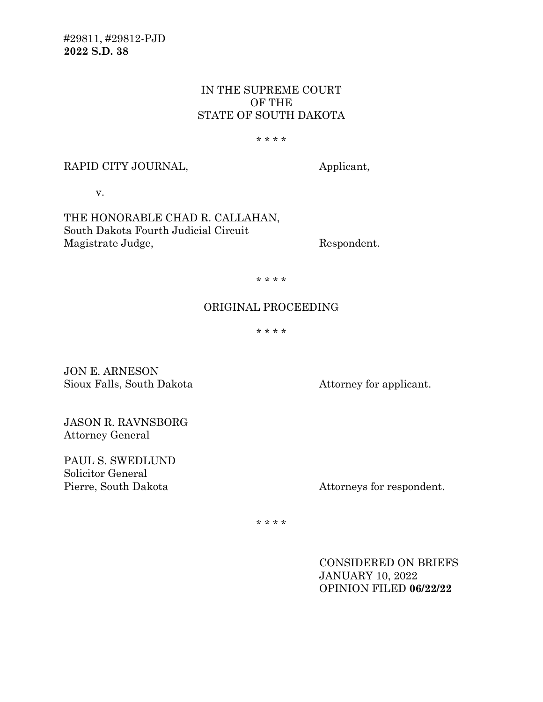#29811, #29812-PJD **2022 S.D. 38**

## IN THE SUPREME COURT OF THE STATE OF SOUTH DAKOTA

#### \* \* \* \*

#### RAPID CITY JOURNAL, Applicant,

v.

THE HONORABLE CHAD R. CALLAHAN, South Dakota Fourth Judicial Circuit Magistrate Judge, Respondent.

\* \* \* \*

# ORIGINAL PROCEEDING

\* \* \* \*

JON E. ARNESON Sioux Falls, South Dakota Attorney for applicant.

JASON R. RAVNSBORG Attorney General

PAUL S. SWEDLUND Solicitor General<br>Pierre, South Dakota

Attorneys for respondent.

\* \* \* \*

CONSIDERED ON BRIEFS JANUARY 10, 2022 OPINION FILED **06/22/22**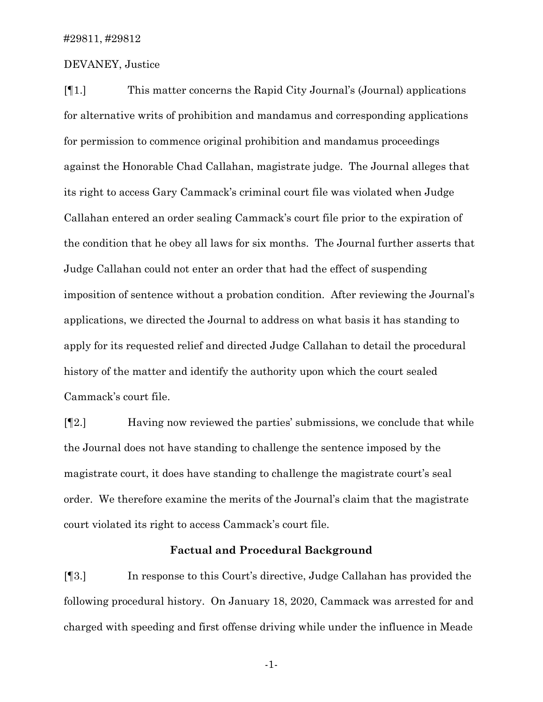## DEVANEY, Justice

[¶1.] This matter concerns the Rapid City Journal's (Journal) applications for alternative writs of prohibition and mandamus and corresponding applications for permission to commence original prohibition and mandamus proceedings against the Honorable Chad Callahan, magistrate judge. The Journal alleges that its right to access Gary Cammack's criminal court file was violated when Judge Callahan entered an order sealing Cammack's court file prior to the expiration of the condition that he obey all laws for six months. The Journal further asserts that Judge Callahan could not enter an order that had the effect of suspending imposition of sentence without a probation condition. After reviewing the Journal's applications, we directed the Journal to address on what basis it has standing to apply for its requested relief and directed Judge Callahan to detail the procedural history of the matter and identify the authority upon which the court sealed Cammack's court file.

[¶2.] Having now reviewed the parties' submissions, we conclude that while the Journal does not have standing to challenge the sentence imposed by the magistrate court, it does have standing to challenge the magistrate court's seal order. We therefore examine the merits of the Journal's claim that the magistrate court violated its right to access Cammack's court file.

### **Factual and Procedural Background**

[¶3.] In response to this Court's directive, Judge Callahan has provided the following procedural history. On January 18, 2020, Cammack was arrested for and charged with speeding and first offense driving while under the influence in Meade

-1-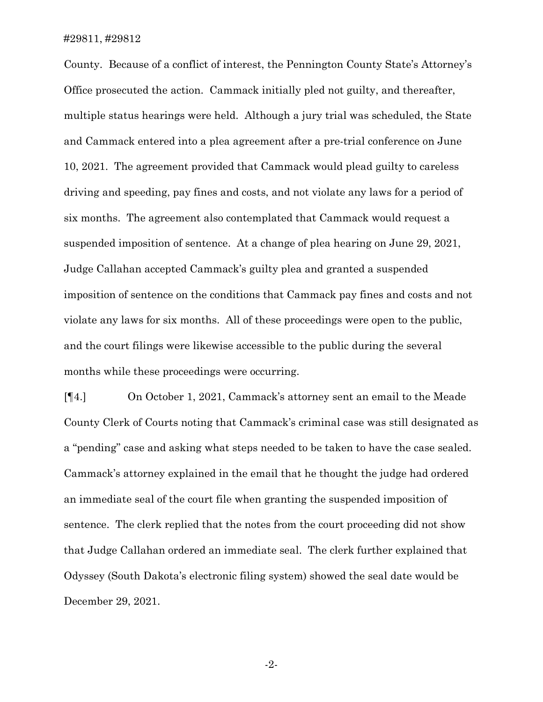County. Because of a conflict of interest, the Pennington County State's Attorney's Office prosecuted the action. Cammack initially pled not guilty, and thereafter, multiple status hearings were held. Although a jury trial was scheduled, the State and Cammack entered into a plea agreement after a pre-trial conference on June 10, 2021. The agreement provided that Cammack would plead guilty to careless driving and speeding, pay fines and costs, and not violate any laws for a period of six months. The agreement also contemplated that Cammack would request a suspended imposition of sentence. At a change of plea hearing on June 29, 2021, Judge Callahan accepted Cammack's guilty plea and granted a suspended imposition of sentence on the conditions that Cammack pay fines and costs and not violate any laws for six months. All of these proceedings were open to the public, and the court filings were likewise accessible to the public during the several months while these proceedings were occurring.

[¶4.] On October 1, 2021, Cammack's attorney sent an email to the Meade County Clerk of Courts noting that Cammack's criminal case was still designated as a "pending" case and asking what steps needed to be taken to have the case sealed. Cammack's attorney explained in the email that he thought the judge had ordered an immediate seal of the court file when granting the suspended imposition of sentence. The clerk replied that the notes from the court proceeding did not show that Judge Callahan ordered an immediate seal. The clerk further explained that Odyssey (South Dakota's electronic filing system) showed the seal date would be December 29, 2021.

-2-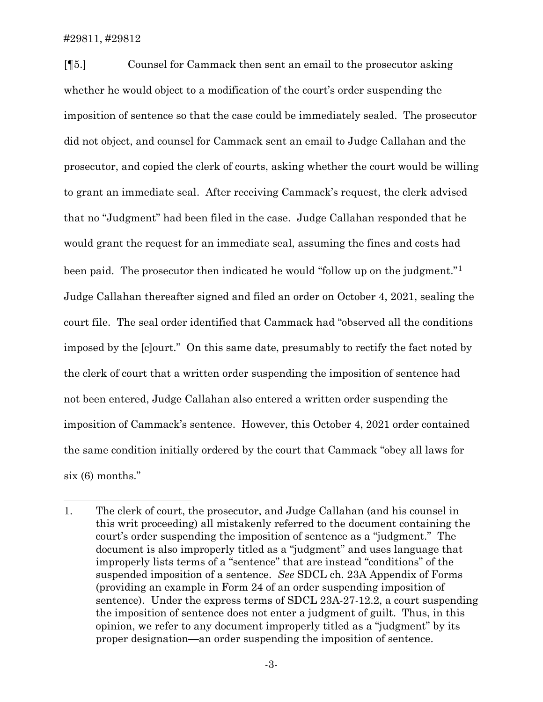[¶5.] Counsel for Cammack then sent an email to the prosecutor asking whether he would object to a modification of the court's order suspending the imposition of sentence so that the case could be immediately sealed. The prosecutor did not object, and counsel for Cammack sent an email to Judge Callahan and the prosecutor, and copied the clerk of courts, asking whether the court would be willing to grant an immediate seal. After receiving Cammack's request, the clerk advised that no "Judgment" had been filed in the case. Judge Callahan responded that he would grant the request for an immediate seal, assuming the fines and costs had been paid. The prosecutor then indicated he would "follow up on the judgment."<sup>1</sup> Judge Callahan thereafter signed and filed an order on October 4, 2021, sealing the court file. The seal order identified that Cammack had "observed all the conditions imposed by the [c]ourt." On this same date, presumably to rectify the fact noted by the clerk of court that a written order suspending the imposition of sentence had not been entered, Judge Callahan also entered a written order suspending the imposition of Cammack's sentence. However, this October 4, 2021 order contained the same condition initially ordered by the court that Cammack "obey all laws for six (6) months."

<span id="page-3-0"></span><sup>1.</sup> The clerk of court, the prosecutor, and Judge Callahan (and his counsel in this writ proceeding) all mistakenly referred to the document containing the court's order suspending the imposition of sentence as a "judgment." The document is also improperly titled as a "judgment" and uses language that improperly lists terms of a "sentence" that are instead "conditions" of the suspended imposition of a sentence. *See* SDCL ch. 23A Appendix of Forms (providing an example in Form 24 of an order suspending imposition of sentence). Under the express terms of SDCL 23A-27-12.2, a court suspending the imposition of sentence does not enter a judgment of guilt. Thus, in this opinion, we refer to any document improperly titled as a "judgment" by its proper designation—an order suspending the imposition of sentence.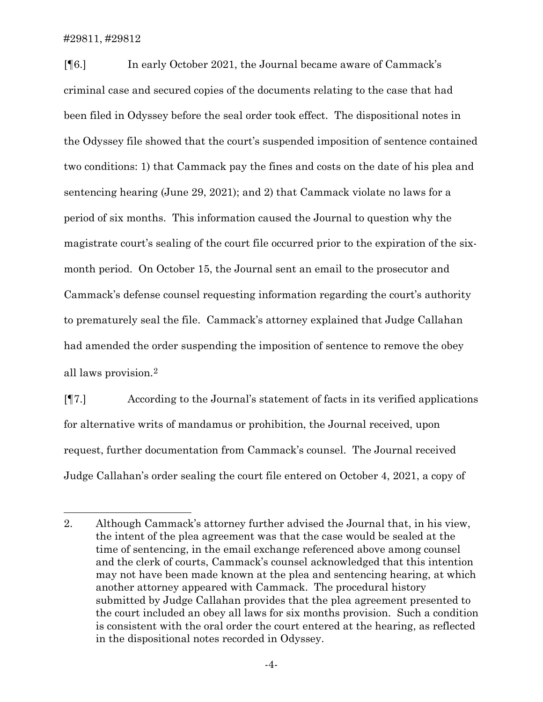[¶6.] In early October 2021, the Journal became aware of Cammack's criminal case and secured copies of the documents relating to the case that had been filed in Odyssey before the seal order took effect. The dispositional notes in the Odyssey file showed that the court's suspended imposition of sentence contained two conditions: 1) that Cammack pay the fines and costs on the date of his plea and sentencing hearing (June 29, 2021); and 2) that Cammack violate no laws for a period of six months. This information caused the Journal to question why the magistrate court's sealing of the court file occurred prior to the expiration of the sixmonth period. On October 15, the Journal sent an email to the prosecutor and Cammack's defense counsel requesting information regarding the court's authority to prematurely seal the file. Cammack's attorney explained that Judge Callahan had amended the order suspending the imposition of sentence to remove the obey all laws provision.[2](#page-4-0)

[¶7.] According to the Journal's statement of facts in its verified applications for alternative writs of mandamus or prohibition, the Journal received, upon request, further documentation from Cammack's counsel. The Journal received Judge Callahan's order sealing the court file entered on October 4, 2021, a copy of

<span id="page-4-0"></span><sup>2.</sup> Although Cammack's attorney further advised the Journal that, in his view, the intent of the plea agreement was that the case would be sealed at the time of sentencing, in the email exchange referenced above among counsel and the clerk of courts, Cammack's counsel acknowledged that this intention may not have been made known at the plea and sentencing hearing, at which another attorney appeared with Cammack. The procedural history submitted by Judge Callahan provides that the plea agreement presented to the court included an obey all laws for six months provision. Such a condition is consistent with the oral order the court entered at the hearing, as reflected in the dispositional notes recorded in Odyssey.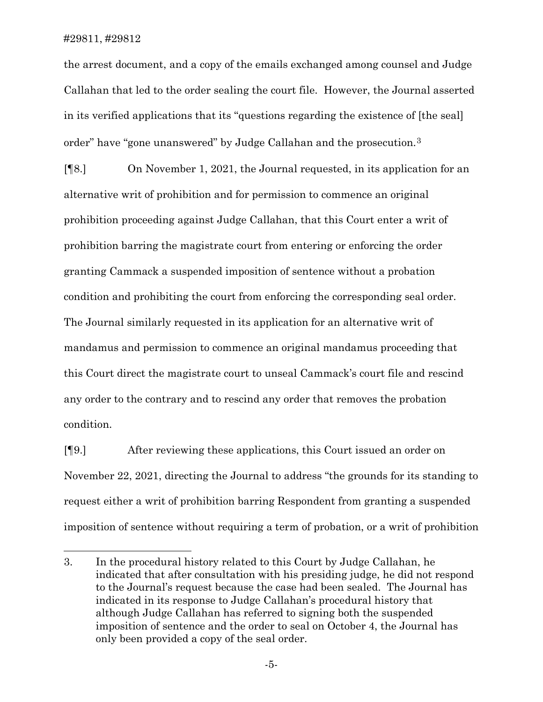the arrest document, and a copy of the emails exchanged among counsel and Judge Callahan that led to the order sealing the court file. However, the Journal asserted in its verified applications that its "questions regarding the existence of [the seal] order" have "gone unanswered" by Judge Callahan and the prosecution.[3](#page-5-0)

[¶8.] On November 1, 2021, the Journal requested, in its application for an alternative writ of prohibition and for permission to commence an original prohibition proceeding against Judge Callahan, that this Court enter a writ of prohibition barring the magistrate court from entering or enforcing the order granting Cammack a suspended imposition of sentence without a probation condition and prohibiting the court from enforcing the corresponding seal order. The Journal similarly requested in its application for an alternative writ of mandamus and permission to commence an original mandamus proceeding that this Court direct the magistrate court to unseal Cammack's court file and rescind any order to the contrary and to rescind any order that removes the probation condition.

[¶9.] After reviewing these applications, this Court issued an order on November 22, 2021, directing the Journal to address "the grounds for its standing to request either a writ of prohibition barring Respondent from granting a suspended imposition of sentence without requiring a term of probation, or a writ of prohibition

<span id="page-5-0"></span><sup>3.</sup> In the procedural history related to this Court by Judge Callahan, he indicated that after consultation with his presiding judge, he did not respond to the Journal's request because the case had been sealed. The Journal has indicated in its response to Judge Callahan's procedural history that although Judge Callahan has referred to signing both the suspended imposition of sentence and the order to seal on October 4, the Journal has only been provided a copy of the seal order.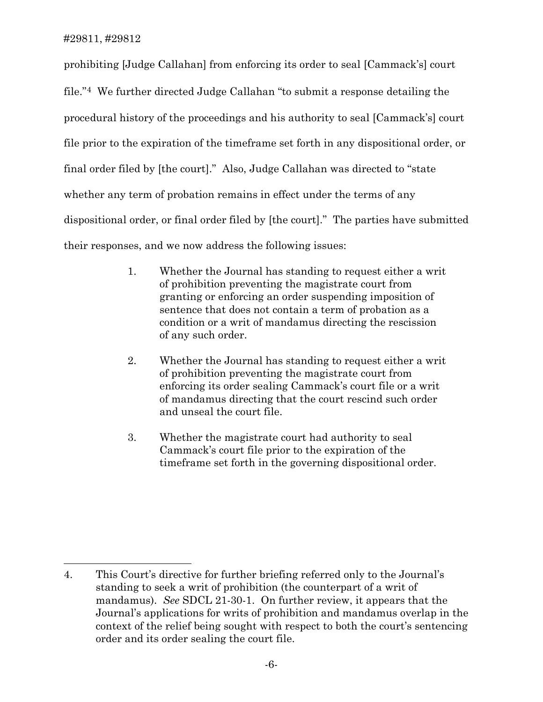prohibiting [Judge Callahan] from enforcing its order to seal [Cammack's] court file."[4](#page-6-0) We further directed Judge Callahan "to submit a response detailing the procedural history of the proceedings and his authority to seal [Cammack's] court file prior to the expiration of the timeframe set forth in any dispositional order, or final order filed by [the court]." Also, Judge Callahan was directed to "state whether any term of probation remains in effect under the terms of any dispositional order, or final order filed by [the court]." The parties have submitted their responses, and we now address the following issues:

- 1. Whether the Journal has standing to request either a writ of prohibition preventing the magistrate court from granting or enforcing an order suspending imposition of sentence that does not contain a term of probation as a condition or a writ of mandamus directing the rescission of any such order.
- 2. Whether the Journal has standing to request either a writ of prohibition preventing the magistrate court from enforcing its order sealing Cammack's court file or a writ of mandamus directing that the court rescind such order and unseal the court file.
- 3. Whether the magistrate court had authority to seal Cammack's court file prior to the expiration of the timeframe set forth in the governing dispositional order.

<span id="page-6-0"></span><sup>4.</sup> This Court's directive for further briefing referred only to the Journal's standing to seek a writ of prohibition (the counterpart of a writ of mandamus). *See* SDCL 21-30-1. On further review, it appears that the Journal's applications for writs of prohibition and mandamus overlap in the context of the relief being sought with respect to both the court's sentencing order and its order sealing the court file.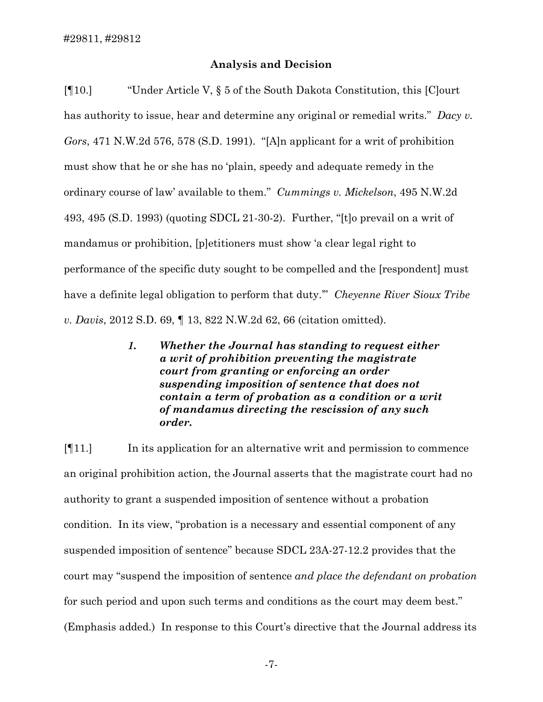## **Analysis and Decision**

[¶10.] "Under Article V, § 5 of the South Dakota Constitution, this [C]ourt has authority to issue, hear and determine any original or remedial writs." *Dacy v. Gors*, 471 N.W.2d 576, 578 (S.D. 1991). "[A]n applicant for a writ of prohibition must show that he or she has no 'plain, speedy and adequate remedy in the ordinary course of law' available to them." *Cummings v. Mickelson*, 495 N.W.2d 493, 495 (S.D. 1993) (quoting SDCL 21-30-2). Further, "[t]o prevail on a writ of mandamus or prohibition, [p]etitioners must show 'a clear legal right to performance of the specific duty sought to be compelled and the [respondent] must have a definite legal obligation to perform that duty.'" *Cheyenne River Sioux Tribe v. Davis*, 2012 S.D. 69, ¶ 13, 822 N.W.2d 62, 66 (citation omitted).

> *1. Whether the Journal has standing to request either a writ of prohibition preventing the magistrate court from granting or enforcing an order suspending imposition of sentence that does not contain a term of probation as a condition or a writ of mandamus directing the rescission of any such order.*

[¶11.] In its application for an alternative writ and permission to commence an original prohibition action, the Journal asserts that the magistrate court had no authority to grant a suspended imposition of sentence without a probation condition. In its view, "probation is a necessary and essential component of any suspended imposition of sentence" because SDCL 23A-27-12.2 provides that the court may "suspend the imposition of sentence *and place the defendant on probation* for such period and upon such terms and conditions as the court may deem best." (Emphasis added.) In response to this Court's directive that the Journal address its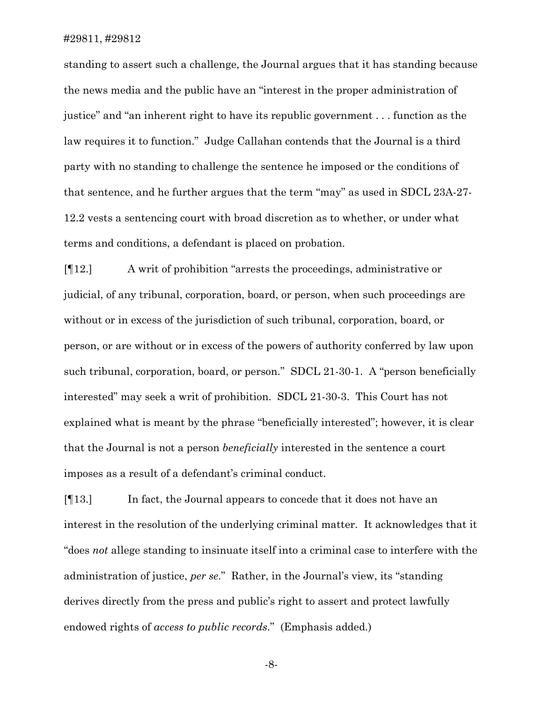standing to assert such a challenge, the Journal argues that it has standing because the news media and the public have an "interest in the proper administration of justice" and "an inherent right to have its republic government . . . function as the law requires it to function." Judge Callahan contends that the Journal is a third party with no standing to challenge the sentence he imposed or the conditions of that sentence, and he further argues that the term "may" as used in SDCL 23A-27- 12.2 vests a sentencing court with broad discretion as to whether, or under what terms and conditions, a defendant is placed on probation.

[¶12.] A writ of prohibition "arrests the proceedings, administrative or judicial, of any tribunal, corporation, board, or person, when such proceedings are without or in excess of the jurisdiction of such tribunal, corporation, board, or person, or are without or in excess of the powers of authority conferred by law upon such tribunal, corporation, board, or person." SDCL 21-30-1. A "person beneficially interested" may seek a writ of prohibition. SDCL 21-30-3. This Court has not explained what is meant by the phrase "beneficially interested"; however, it is clear that the Journal is not a person *beneficially* interested in the sentence a court imposes as a result of a defendant's criminal conduct.

[¶13.] In fact, the Journal appears to concede that it does not have an interest in the resolution of the underlying criminal matter. It acknowledges that it "does *not* allege standing to insinuate itself into a criminal case to interfere with the administration of justice, *per se*." Rather, in the Journal's view, its "standing derives directly from the press and public's right to assert and protect lawfully endowed rights of *access to public records*." (Emphasis added.)

-8-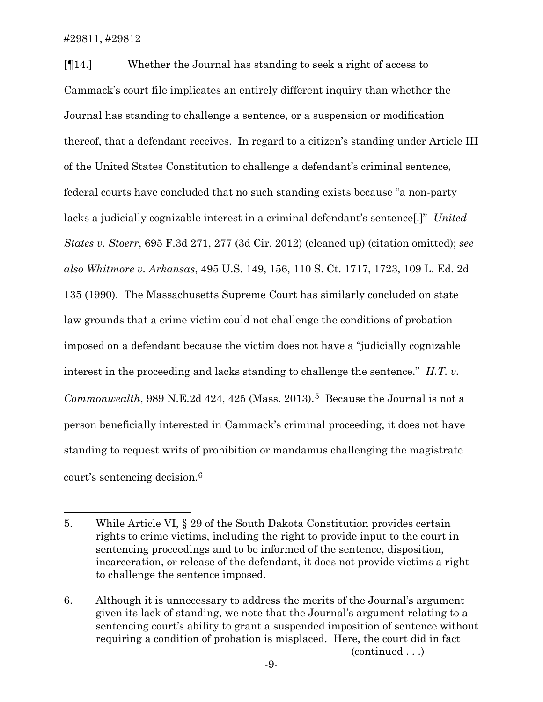[¶14.] Whether the Journal has standing to seek a right of access to Cammack's court file implicates an entirely different inquiry than whether the Journal has standing to challenge a sentence, or a suspension or modification thereof, that a defendant receives. In regard to a citizen's standing under Article III of the United States Constitution to challenge a defendant's criminal sentence, federal courts have concluded that no such standing exists because "a non-party lacks a judicially cognizable interest in a criminal defendant's sentence[.]" *United States v. Stoerr*, 695 F.3d 271, 277 (3d Cir. 2012) (cleaned up) (citation omitted); *see also Whitmore v. Arkansas*, 495 U.S. 149, 156, 110 S. Ct. 1717, 1723, 109 L. Ed. 2d 135 (1990). The Massachusetts Supreme Court has similarly concluded on state law grounds that a crime victim could not challenge the conditions of probation imposed on a defendant because the victim does not have a "judicially cognizable interest in the proceeding and lacks standing to challenge the sentence." *H.T. v. Commonwealth*, 989 N.E.2d 424, 42[5](#page-9-0) (Mass. 2013).<sup>5</sup> Because the Journal is not a person beneficially interested in Cammack's criminal proceeding, it does not have standing to request writs of prohibition or mandamus challenging the magistrate court's sentencing decision.[6](#page-9-1)

<span id="page-9-0"></span><sup>5.</sup> While Article VI, § 29 of the South Dakota Constitution provides certain rights to crime victims, including the right to provide input to the court in sentencing proceedings and to be informed of the sentence, disposition, incarceration, or release of the defendant, it does not provide victims a right to challenge the sentence imposed.

<span id="page-9-1"></span><sup>6.</sup> Although it is unnecessary to address the merits of the Journal's argument given its lack of standing, we note that the Journal's argument relating to a sentencing court's ability to grant a suspended imposition of sentence without requiring a condition of probation is misplaced. Here, the court did in fact (continued . . .)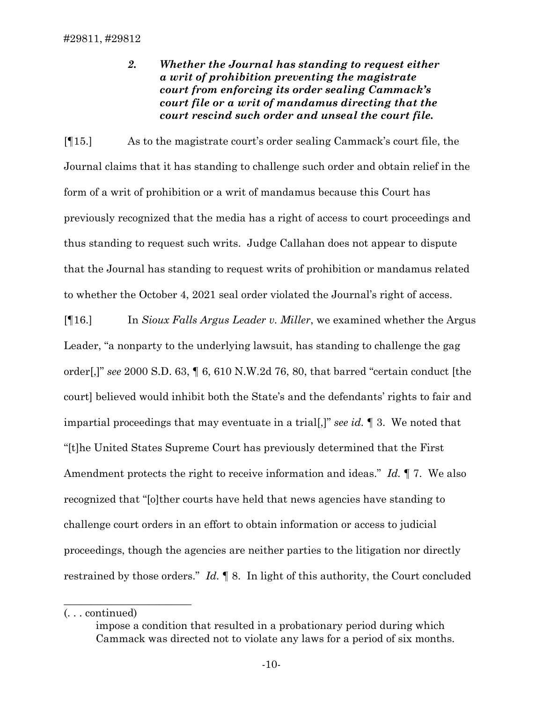*2. Whether the Journal has standing to request either a writ of prohibition preventing the magistrate court from enforcing its order sealing Cammack's court file or a writ of mandamus directing that the court rescind such order and unseal the court file.*

[¶15.] As to the magistrate court's order sealing Cammack's court file, the Journal claims that it has standing to challenge such order and obtain relief in the form of a writ of prohibition or a writ of mandamus because this Court has previously recognized that the media has a right of access to court proceedings and thus standing to request such writs. Judge Callahan does not appear to dispute that the Journal has standing to request writs of prohibition or mandamus related to whether the October 4, 2021 seal order violated the Journal's right of access.

[¶16.] In *Sioux Falls Argus Leader v. Miller*, we examined whether the Argus Leader, "a nonparty to the underlying lawsuit, has standing to challenge the gag order[,]" *see* 2000 S.D. 63, ¶ 6, 610 N.W.2d 76, 80, that barred "certain conduct [the court] believed would inhibit both the State's and the defendants' rights to fair and impartial proceedings that may eventuate in a trial[,]" *see id.* ¶ 3. We noted that "[t]he United States Supreme Court has previously determined that the First Amendment protects the right to receive information and ideas." *Id.* ¶ 7. We also recognized that "[o]ther courts have held that news agencies have standing to challenge court orders in an effort to obtain information or access to judicial proceedings, though the agencies are neither parties to the litigation nor directly restrained by those orders." *Id.* ¶ 8. In light of this authority, the Court concluded

(. . . continued)

 $\overline{\phantom{a}}$  , where  $\overline{\phantom{a}}$  , where  $\overline{\phantom{a}}$  , where  $\overline{\phantom{a}}$ 

impose a condition that resulted in a probationary period during which Cammack was directed not to violate any laws for a period of six months.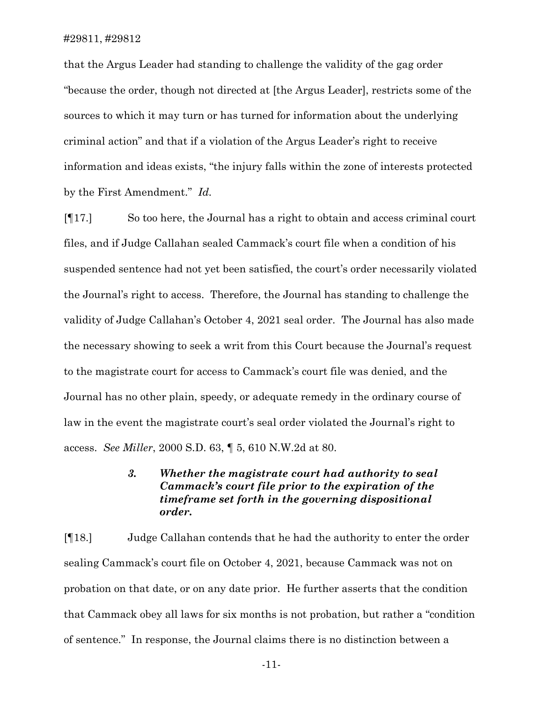that the Argus Leader had standing to challenge the validity of the gag order "because the order, though not directed at [the Argus Leader], restricts some of the sources to which it may turn or has turned for information about the underlying criminal action" and that if a violation of the Argus Leader's right to receive information and ideas exists, "the injury falls within the zone of interests protected by the First Amendment." *Id.*

[¶17.] So too here, the Journal has a right to obtain and access criminal court files, and if Judge Callahan sealed Cammack's court file when a condition of his suspended sentence had not yet been satisfied, the court's order necessarily violated the Journal's right to access. Therefore, the Journal has standing to challenge the validity of Judge Callahan's October 4, 2021 seal order. The Journal has also made the necessary showing to seek a writ from this Court because the Journal's request to the magistrate court for access to Cammack's court file was denied, and the Journal has no other plain, speedy, or adequate remedy in the ordinary course of law in the event the magistrate court's seal order violated the Journal's right to access. *See Miller*, 2000 S.D. 63, ¶ 5, 610 N.W.2d at 80.

# *3. Whether the magistrate court had authority to seal Cammack's court file prior to the expiration of the timeframe set forth in the governing dispositional order.*

[¶18.] Judge Callahan contends that he had the authority to enter the order sealing Cammack's court file on October 4, 2021, because Cammack was not on probation on that date, or on any date prior. He further asserts that the condition that Cammack obey all laws for six months is not probation, but rather a "condition of sentence." In response, the Journal claims there is no distinction between a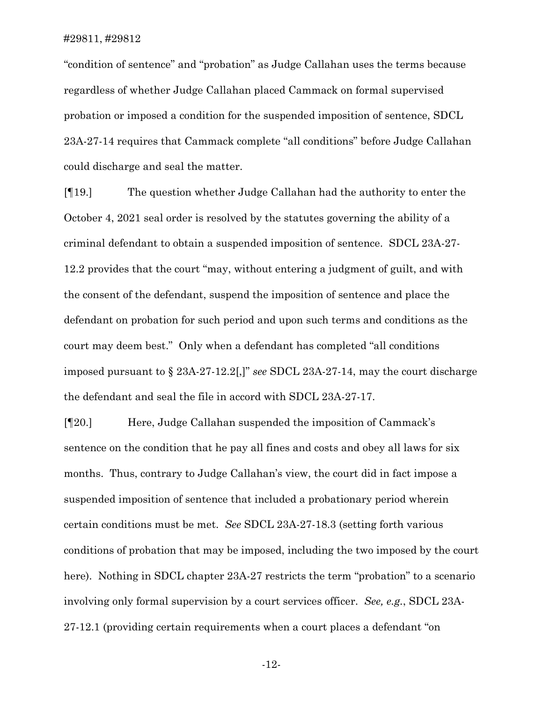"condition of sentence" and "probation" as Judge Callahan uses the terms because regardless of whether Judge Callahan placed Cammack on formal supervised probation or imposed a condition for the suspended imposition of sentence, SDCL 23A-27-14 requires that Cammack complete "all conditions" before Judge Callahan could discharge and seal the matter.

[¶19.] The question whether Judge Callahan had the authority to enter the October 4, 2021 seal order is resolved by the statutes governing the ability of a criminal defendant to obtain a suspended imposition of sentence. SDCL 23A-27- 12.2 provides that the court "may, without entering a judgment of guilt, and with the consent of the defendant, suspend the imposition of sentence and place the defendant on probation for such period and upon such terms and conditions as the court may deem best." Only when a defendant has completed "all conditions imposed pursuant to § 23A-27-12.2[,]" *see* SDCL 23A-27-14, may the court discharge the defendant and seal the file in accord with SDCL 23A-27-17.

[¶20.] Here, Judge Callahan suspended the imposition of Cammack's sentence on the condition that he pay all fines and costs and obey all laws for six months. Thus, contrary to Judge Callahan's view, the court did in fact impose a suspended imposition of sentence that included a probationary period wherein certain conditions must be met. *See* SDCL 23A-27-18.3 (setting forth various conditions of probation that may be imposed, including the two imposed by the court here). Nothing in SDCL chapter 23A-27 restricts the term "probation" to a scenario involving only formal supervision by a court services officer. *See, e.g.*, SDCL 23A-27-12.1 (providing certain requirements when a court places a defendant "on

-12-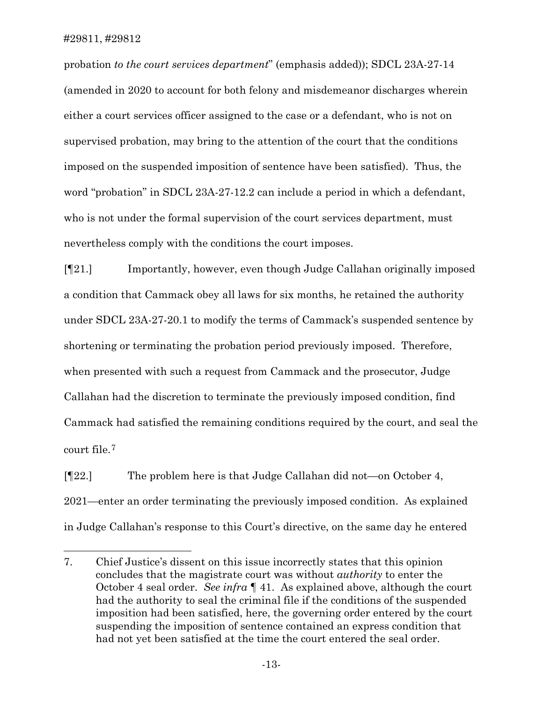probation *to the court services department*" (emphasis added)); SDCL 23A-27-14 (amended in 2020 to account for both felony and misdemeanor discharges wherein either a court services officer assigned to the case or a defendant, who is not on supervised probation, may bring to the attention of the court that the conditions imposed on the suspended imposition of sentence have been satisfied). Thus, the word "probation" in SDCL 23A-27-12.2 can include a period in which a defendant, who is not under the formal supervision of the court services department, must nevertheless comply with the conditions the court imposes.

[¶21.] Importantly, however, even though Judge Callahan originally imposed a condition that Cammack obey all laws for six months, he retained the authority under SDCL 23A-27-20.1 to modify the terms of Cammack's suspended sentence by shortening or terminating the probation period previously imposed. Therefore, when presented with such a request from Cammack and the prosecutor, Judge Callahan had the discretion to terminate the previously imposed condition, find Cammack had satisfied the remaining conditions required by the court, and seal the court file.[7](#page-13-0)

[¶22.] The problem here is that Judge Callahan did not—on October 4, 2021—enter an order terminating the previously imposed condition. As explained in Judge Callahan's response to this Court's directive, on the same day he entered

<span id="page-13-0"></span><sup>7.</sup> Chief Justice's dissent on this issue incorrectly states that this opinion concludes that the magistrate court was without *authority* to enter the October 4 seal order. *See infra* ¶ 41. As explained above, although the court had the authority to seal the criminal file if the conditions of the suspended imposition had been satisfied, here, the governing order entered by the court suspending the imposition of sentence contained an express condition that had not yet been satisfied at the time the court entered the seal order.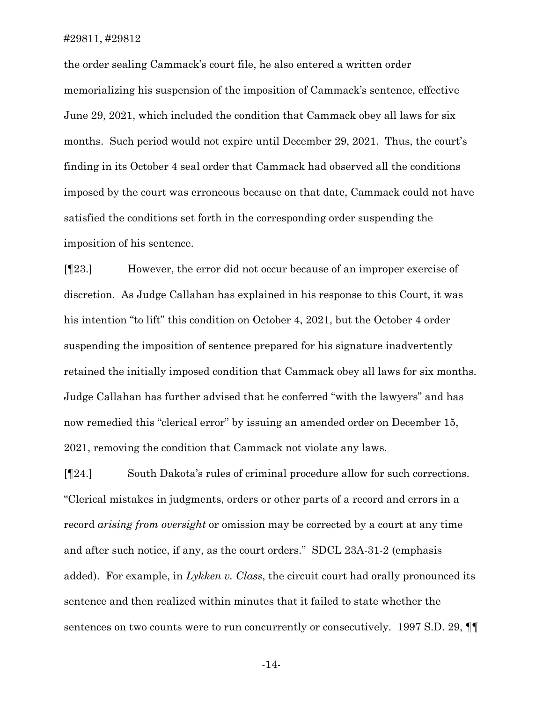the order sealing Cammack's court file, he also entered a written order memorializing his suspension of the imposition of Cammack's sentence, effective June 29, 2021, which included the condition that Cammack obey all laws for six months. Such period would not expire until December 29, 2021. Thus, the court's finding in its October 4 seal order that Cammack had observed all the conditions imposed by the court was erroneous because on that date, Cammack could not have satisfied the conditions set forth in the corresponding order suspending the imposition of his sentence.

[¶23.] However, the error did not occur because of an improper exercise of discretion. As Judge Callahan has explained in his response to this Court, it was his intention "to lift" this condition on October 4, 2021, but the October 4 order suspending the imposition of sentence prepared for his signature inadvertently retained the initially imposed condition that Cammack obey all laws for six months. Judge Callahan has further advised that he conferred "with the lawyers" and has now remedied this "clerical error" by issuing an amended order on December 15, 2021, removing the condition that Cammack not violate any laws.

[¶24.] South Dakota's rules of criminal procedure allow for such corrections. "Clerical mistakes in judgments, orders or other parts of a record and errors in a record *arising from oversight* or omission may be corrected by a court at any time and after such notice, if any, as the court orders." SDCL 23A-31-2 (emphasis added). For example, in *Lykken v. Class*, the circuit court had orally pronounced its sentence and then realized within minutes that it failed to state whether the sentences on two counts were to run concurrently or consecutively. 1997 S.D. 29,  $\P$ 

-14-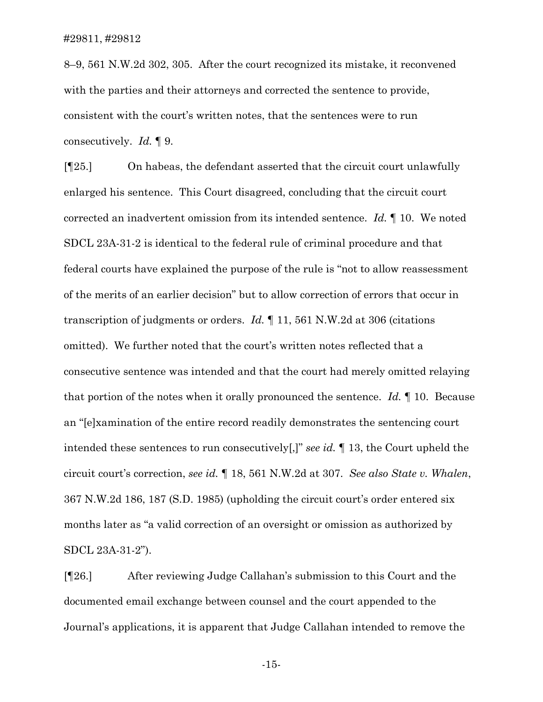8–9, 561 N.W.2d 302, 305. After the court recognized its mistake, it reconvened with the parties and their attorneys and corrected the sentence to provide, consistent with the court's written notes, that the sentences were to run consecutively. *Id.* ¶ 9.

[¶25.] On habeas, the defendant asserted that the circuit court unlawfully enlarged his sentence. This Court disagreed, concluding that the circuit court corrected an inadvertent omission from its intended sentence. *Id.* ¶ 10. We noted SDCL 23A-31-2 is identical to the federal rule of criminal procedure and that federal courts have explained the purpose of the rule is "not to allow reassessment of the merits of an earlier decision" but to allow correction of errors that occur in transcription of judgments or orders. *Id.* ¶ 11, 561 N.W.2d at 306 (citations omitted). We further noted that the court's written notes reflected that a consecutive sentence was intended and that the court had merely omitted relaying that portion of the notes when it orally pronounced the sentence. *Id.* ¶ 10. Because an "[e]xamination of the entire record readily demonstrates the sentencing court intended these sentences to run consecutively[,]" *see id.* ¶ 13, the Court upheld the circuit court's correction, *see id.* ¶ 18, 561 N.W.2d at 307. *See also State v. Whalen*, 367 N.W.2d 186, 187 (S.D. 1985) (upholding the circuit court's order entered six months later as "a valid correction of an oversight or omission as authorized by SDCL 23A-31-2").

[¶26.] After reviewing Judge Callahan's submission to this Court and the documented email exchange between counsel and the court appended to the Journal's applications, it is apparent that Judge Callahan intended to remove the

-15-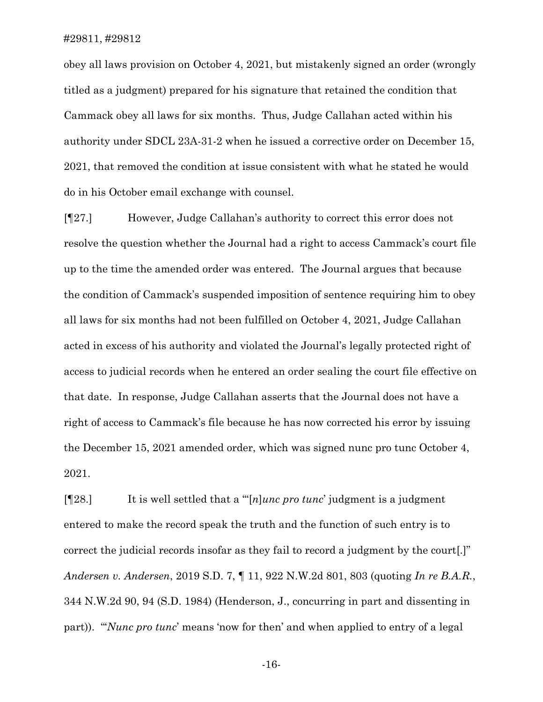obey all laws provision on October 4, 2021, but mistakenly signed an order (wrongly titled as a judgment) prepared for his signature that retained the condition that Cammack obey all laws for six months. Thus, Judge Callahan acted within his authority under SDCL 23A-31-2 when he issued a corrective order on December 15, 2021, that removed the condition at issue consistent with what he stated he would do in his October email exchange with counsel.

[¶27.] However, Judge Callahan's authority to correct this error does not resolve the question whether the Journal had a right to access Cammack's court file up to the time the amended order was entered. The Journal argues that because the condition of Cammack's suspended imposition of sentence requiring him to obey all laws for six months had not been fulfilled on October 4, 2021, Judge Callahan acted in excess of his authority and violated the Journal's legally protected right of access to judicial records when he entered an order sealing the court file effective on that date. In response, Judge Callahan asserts that the Journal does not have a right of access to Cammack's file because he has now corrected his error by issuing the December 15, 2021 amended order, which was signed nunc pro tunc October 4, 2021.

[¶28.] It is well settled that a "'[*n*]*unc pro tunc*' judgment is a judgment entered to make the record speak the truth and the function of such entry is to correct the judicial records insofar as they fail to record a judgment by the court[.]" *Andersen v. Andersen*, 2019 S.D. 7, ¶ 11, 922 N.W.2d 801, 803 (quoting *In re B.A.R.*, 344 N.W.2d 90, 94 (S.D. 1984) (Henderson, J., concurring in part and dissenting in part)). "'*Nunc pro tunc*' means 'now for then' and when applied to entry of a legal

-16-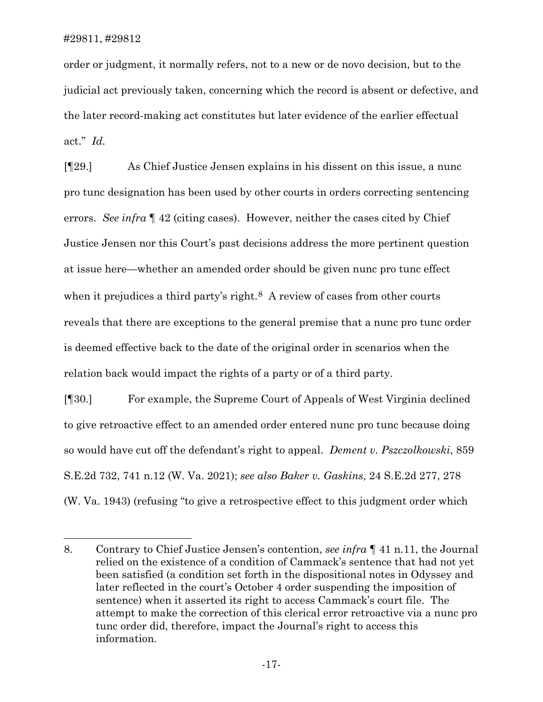order or judgment, it normally refers, not to a new or de novo decision, but to the judicial act previously taken, concerning which the record is absent or defective, and the later record-making act constitutes but later evidence of the earlier effectual act." *Id.*

[¶29.] As Chief Justice Jensen explains in his dissent on this issue, a nunc pro tunc designation has been used by other courts in orders correcting sentencing errors. *See infra* ¶ 42 (citing cases). However, neither the cases cited by Chief Justice Jensen nor this Court's past decisions address the more pertinent question at issue here—whether an amended order should be given nunc pro tunc effect when it prejudices a third party's right.<sup>[8](#page-17-0)</sup> A review of cases from other courts reveals that there are exceptions to the general premise that a nunc pro tunc order is deemed effective back to the date of the original order in scenarios when the relation back would impact the rights of a party or of a third party.

[¶30.] For example, the Supreme Court of Appeals of West Virginia declined to give retroactive effect to an amended order entered nunc pro tunc because doing so would have cut off the defendant's right to appeal. *Dement v. Pszczolkowski*, 859 S.E.2d 732, 741 n.12 (W. Va. 2021); *see also Baker v. Gaskins*, 24 S.E.2d 277, 278 (W. Va. 1943) (refusing "to give a retrospective effect to this judgment order which

<span id="page-17-0"></span><sup>8.</sup> Contrary to Chief Justice Jensen's contention, *see infra* ¶ 41 n.11, the Journal relied on the existence of a condition of Cammack's sentence that had not yet been satisfied (a condition set forth in the dispositional notes in Odyssey and later reflected in the court's October 4 order suspending the imposition of sentence) when it asserted its right to access Cammack's court file. The attempt to make the correction of this clerical error retroactive via a nunc pro tunc order did, therefore, impact the Journal's right to access this information.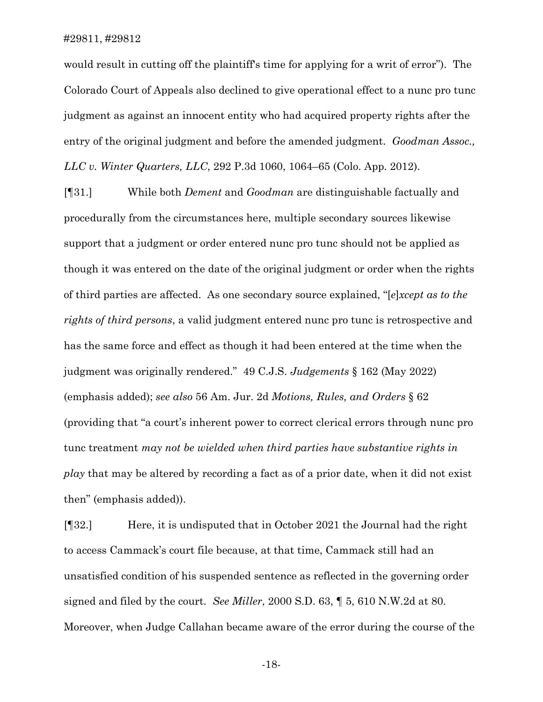would result in cutting off the plaintiff's time for applying for a writ of error"). The Colorado Court of Appeals also declined to give operational effect to a nunc pro tunc judgment as against an innocent entity who had acquired property rights after the entry of the original judgment and before the amended judgment. *Goodman Assoc., LLC v. Winter Quarters, LLC*, 292 P.3d 1060, 1064–65 (Colo. App. 2012).

[¶31.] While both *Dement* and *Goodman* are distinguishable factually and procedurally from the circumstances here, multiple secondary sources likewise support that a judgment or order entered nunc pro tunc should not be applied as though it was entered on the date of the original judgment or order when the rights of third parties are affected. As one secondary source explained, "[*e*]*xcept as to the rights of third persons*, a valid judgment entered nunc pro tunc is retrospective and has the same force and effect as though it had been entered at the time when the judgment was originally rendered." 49 C.J.S. *Judgements* § 162 (May 2022) (emphasis added); *see also* 56 Am. Jur. 2d *Motions, Rules, and Orders* § 62 (providing that "a court's inherent power to correct clerical errors through nunc pro tunc treatment *may not be wielded when third parties have substantive rights in play* that may be altered by recording a fact as of a prior date, when it did not exist then" (emphasis added)).

[¶32.] Here, it is undisputed that in October 2021 the Journal had the right to access Cammack's court file because, at that time, Cammack still had an unsatisfied condition of his suspended sentence as reflected in the governing order signed and filed by the court. *See Miller*, 2000 S.D. 63, ¶ 5, 610 N.W.2d at 80. Moreover, when Judge Callahan became aware of the error during the course of the

-18-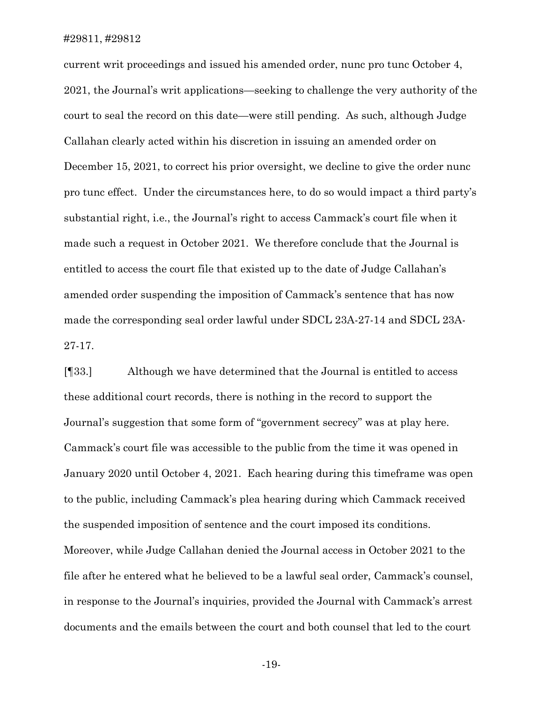current writ proceedings and issued his amended order, nunc pro tunc October 4, 2021, the Journal's writ applications—seeking to challenge the very authority of the court to seal the record on this date—were still pending. As such, although Judge Callahan clearly acted within his discretion in issuing an amended order on December 15, 2021, to correct his prior oversight, we decline to give the order nunc pro tunc effect. Under the circumstances here, to do so would impact a third party's substantial right, i.e., the Journal's right to access Cammack's court file when it made such a request in October 2021. We therefore conclude that the Journal is entitled to access the court file that existed up to the date of Judge Callahan's amended order suspending the imposition of Cammack's sentence that has now made the corresponding seal order lawful under SDCL 23A-27-14 and SDCL 23A-27-17.

[¶33.] Although we have determined that the Journal is entitled to access these additional court records, there is nothing in the record to support the Journal's suggestion that some form of "government secrecy" was at play here. Cammack's court file was accessible to the public from the time it was opened in January 2020 until October 4, 2021. Each hearing during this timeframe was open to the public, including Cammack's plea hearing during which Cammack received the suspended imposition of sentence and the court imposed its conditions. Moreover, while Judge Callahan denied the Journal access in October 2021 to the file after he entered what he believed to be a lawful seal order, Cammack's counsel, in response to the Journal's inquiries, provided the Journal with Cammack's arrest documents and the emails between the court and both counsel that led to the court

-19-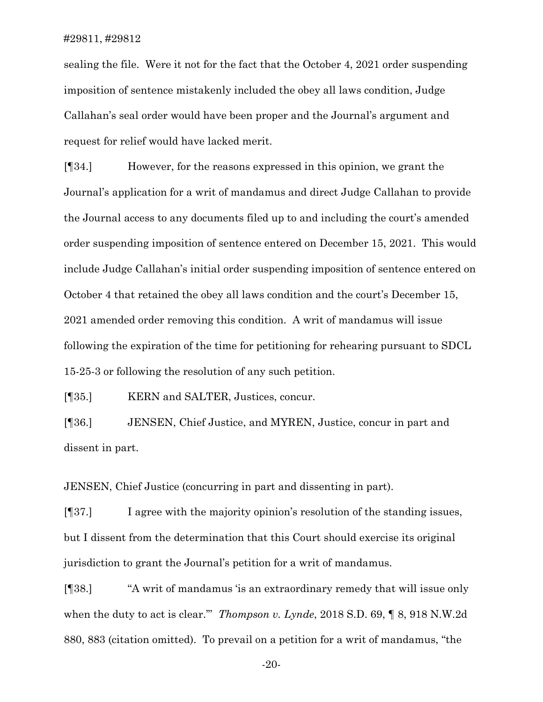sealing the file. Were it not for the fact that the October 4, 2021 order suspending imposition of sentence mistakenly included the obey all laws condition, Judge Callahan's seal order would have been proper and the Journal's argument and request for relief would have lacked merit.

[¶34.] However, for the reasons expressed in this opinion, we grant the Journal's application for a writ of mandamus and direct Judge Callahan to provide the Journal access to any documents filed up to and including the court's amended order suspending imposition of sentence entered on December 15, 2021. This would include Judge Callahan's initial order suspending imposition of sentence entered on October 4 that retained the obey all laws condition and the court's December 15, 2021 amended order removing this condition. A writ of mandamus will issue following the expiration of the time for petitioning for rehearing pursuant to SDCL 15-25-3 or following the resolution of any such petition.

[¶35.] KERN and SALTER, Justices, concur.

[¶36.] JENSEN, Chief Justice, and MYREN, Justice, concur in part and dissent in part.

JENSEN, Chief Justice (concurring in part and dissenting in part).

[¶37.] I agree with the majority opinion's resolution of the standing issues, but I dissent from the determination that this Court should exercise its original jurisdiction to grant the Journal's petition for a writ of mandamus.

[¶38.] "A writ of mandamus 'is an extraordinary remedy that will issue only when the duty to act is clear.'" *Thompson v. Lynde*, 2018 S.D. 69, ¶ 8, 918 N.W.2d 880, 883 (citation omitted). To prevail on a petition for a writ of mandamus, "the

-20-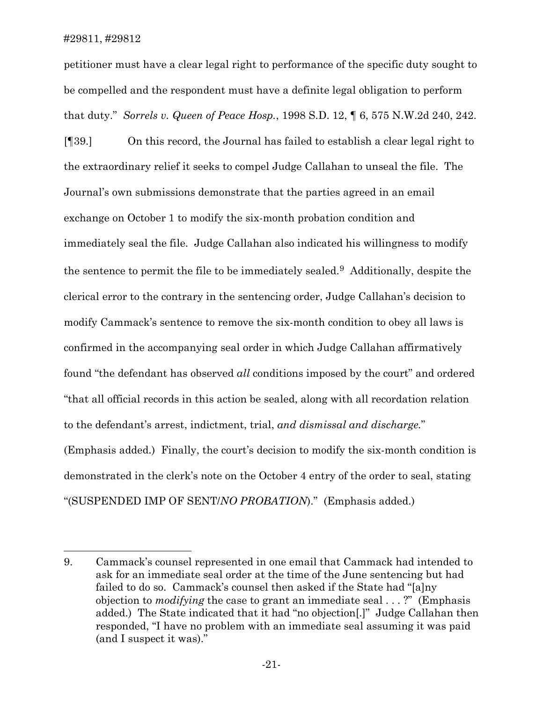petitioner must have a clear legal right to performance of the specific duty sought to be compelled and the respondent must have a definite legal obligation to perform that duty." *Sorrels v. Queen of Peace Hosp.*, 1998 S.D. 12, ¶ 6, 575 N.W.2d 240, 242. [¶39.] On this record, the Journal has failed to establish a clear legal right to the extraordinary relief it seeks to compel Judge Callahan to unseal the file. The Journal's own submissions demonstrate that the parties agreed in an email exchange on October 1 to modify the six-month probation condition and immediately seal the file. Judge Callahan also indicated his willingness to modify the sentence to permit the file to be immediately sealed.[9](#page-21-0) Additionally, despite the clerical error to the contrary in the sentencing order, Judge Callahan's decision to modify Cammack's sentence to remove the six-month condition to obey all laws is confirmed in the accompanying seal order in which Judge Callahan affirmatively found "the defendant has observed *all* conditions imposed by the court" and ordered "that all official records in this action be sealed, along with all recordation relation to the defendant's arrest, indictment, trial, *and dismissal and discharge.*" (Emphasis added.) Finally, the court's decision to modify the six-month condition is demonstrated in the clerk's note on the October 4 entry of the order to seal, stating

"(SUSPENDED IMP OF SENT/*NO PROBATION*)." (Emphasis added.)

<span id="page-21-0"></span><sup>9.</sup> Cammack's counsel represented in one email that Cammack had intended to ask for an immediate seal order at the time of the June sentencing but had failed to do so. Cammack's counsel then asked if the State had "[a]ny objection to *modifying* the case to grant an immediate seal . . . ?" (Emphasis added.) The State indicated that it had "no objection[.]" Judge Callahan then responded, "I have no problem with an immediate seal assuming it was paid (and I suspect it was)."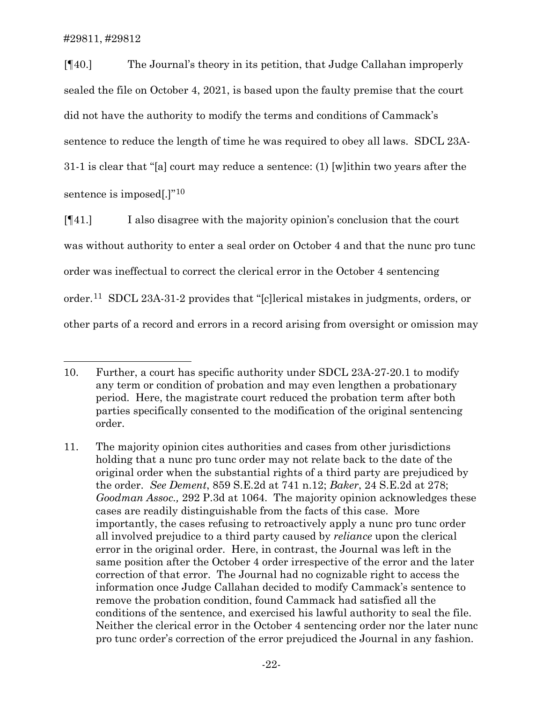[¶40.] The Journal's theory in its petition, that Judge Callahan improperly sealed the file on October 4, 2021, is based upon the faulty premise that the court did not have the authority to modify the terms and conditions of Cammack's sentence to reduce the length of time he was required to obey all laws. SDCL 23A-31-1 is clear that "[a] court may reduce a sentence: (1) [w]ithin two years after the sentence is imposed[.]"<sup>[10](#page-22-0)</sup>

[¶41.] I also disagree with the majority opinion's conclusion that the court was without authority to enter a seal order on October 4 and that the nunc pro tunc order was ineffectual to correct the clerical error in the October 4 sentencing order.[11](#page-22-1) SDCL 23A-31-2 provides that "[c]lerical mistakes in judgments, orders, or other parts of a record and errors in a record arising from oversight or omission may

<span id="page-22-0"></span><sup>10.</sup> Further, a court has specific authority under SDCL 23A-27-20.1 to modify any term or condition of probation and may even lengthen a probationary period. Here, the magistrate court reduced the probation term after both parties specifically consented to the modification of the original sentencing order.

<span id="page-22-1"></span><sup>11.</sup> The majority opinion cites authorities and cases from other jurisdictions holding that a nunc pro tunc order may not relate back to the date of the original order when the substantial rights of a third party are prejudiced by the order. *See Dement*, 859 S.E.2d at 741 n.12; *Baker*, 24 S.E.2d at 278; *Goodman Assoc.,* 292 P.3d at 1064. The majority opinion acknowledges these cases are readily distinguishable from the facts of this case. More importantly, the cases refusing to retroactively apply a nunc pro tunc order all involved prejudice to a third party caused by *reliance* upon the clerical error in the original order. Here, in contrast, the Journal was left in the same position after the October 4 order irrespective of the error and the later correction of that error. The Journal had no cognizable right to access the information once Judge Callahan decided to modify Cammack's sentence to remove the probation condition, found Cammack had satisfied all the conditions of the sentence, and exercised his lawful authority to seal the file. Neither the clerical error in the October 4 sentencing order nor the later nunc pro tunc order's correction of the error prejudiced the Journal in any fashion.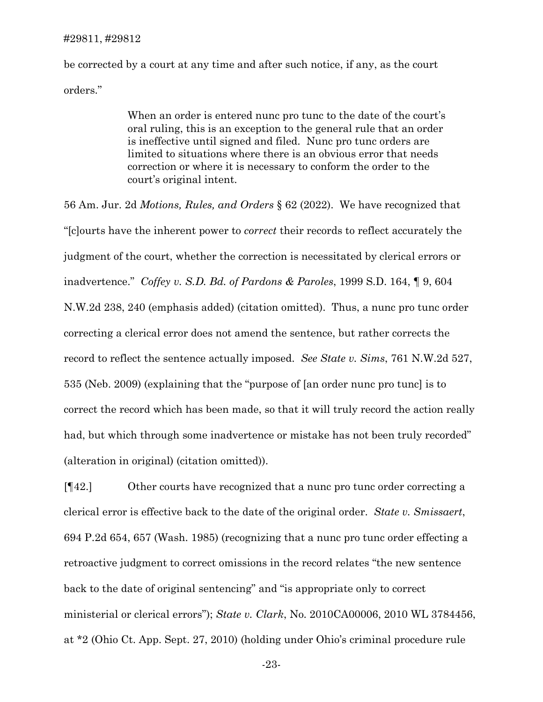be corrected by a court at any time and after such notice, if any, as the court orders."

> When an order is entered nunc pro tunc to the date of the court's oral ruling, this is an exception to the general rule that an order is ineffective until signed and filed. Nunc pro tunc orders are limited to situations where there is an obvious error that needs correction or where it is necessary to conform the order to the court's original intent.

56 Am. Jur. 2d *Motions, Rules, and Orders* § 62 (2022). We have recognized that "[c]ourts have the inherent power to *correct* their records to reflect accurately the judgment of the court, whether the correction is necessitated by clerical errors or inadvertence." *Coffey v. S.D. Bd. of Pardons & Paroles*, 1999 S.D. 164, ¶ 9, 604 N.W.2d 238, 240 (emphasis added) (citation omitted). Thus, a nunc pro tunc order correcting a clerical error does not amend the sentence, but rather corrects the record to reflect the sentence actually imposed. *See State v. Sims*, 761 N.W.2d 527, 535 (Neb. 2009) (explaining that the "purpose of [an order nunc pro tunc] is to correct the record which has been made, so that it will truly record the action really had, but which through some inadvertence or mistake has not been truly recorded" (alteration in original) (citation omitted)).

[¶42.] Other courts have recognized that a nunc pro tunc order correcting a clerical error is effective back to the date of the original order. *State v. Smissaert*, 694 P.2d 654, 657 (Wash. 1985) (recognizing that a nunc pro tunc order effecting a retroactive judgment to correct omissions in the record relates "the new sentence back to the date of original sentencing" and "is appropriate only to correct ministerial or clerical errors"); *State v. Clark*, No. 2010CA00006, 2010 WL 3784456, at \*2 (Ohio Ct. App. Sept. 27, 2010) (holding under Ohio's criminal procedure rule

-23-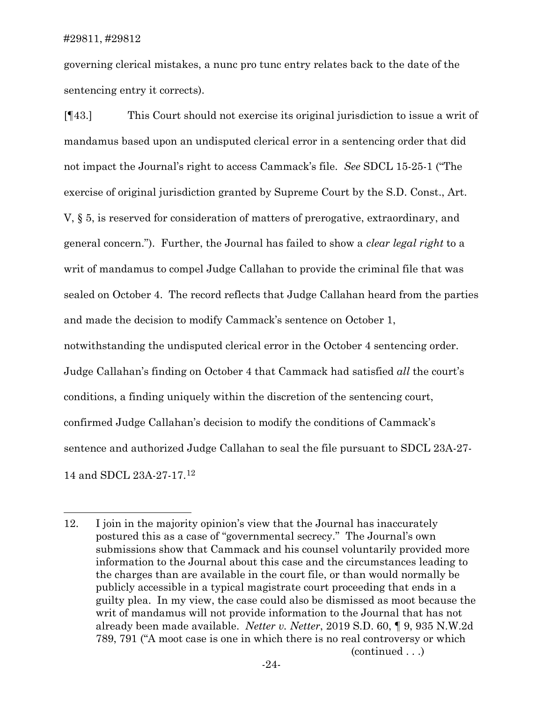governing clerical mistakes, a nunc pro tunc entry relates back to the date of the sentencing entry it corrects).

[¶43.] This Court should not exercise its original jurisdiction to issue a writ of mandamus based upon an undisputed clerical error in a sentencing order that did not impact the Journal's right to access Cammack's file. *See* SDCL 15-25-1 ("The exercise of original jurisdiction granted by Supreme Court by the S.D. Const., Art. V, § 5, is reserved for consideration of matters of prerogative, extraordinary, and general concern."). Further, the Journal has failed to show a *clear legal right* to a writ of mandamus to compel Judge Callahan to provide the criminal file that was sealed on October 4. The record reflects that Judge Callahan heard from the parties and made the decision to modify Cammack's sentence on October 1, notwithstanding the undisputed clerical error in the October 4 sentencing order. Judge Callahan's finding on October 4 that Cammack had satisfied *all* the court's conditions, a finding uniquely within the discretion of the sentencing court, confirmed Judge Callahan's decision to modify the conditions of Cammack's sentence and authorized Judge Callahan to seal the file pursuant to SDCL 23A-27- 14 and SDCL 23A-27-17.[12](#page-24-0)

<span id="page-24-0"></span><sup>12.</sup> I join in the majority opinion's view that the Journal has inaccurately postured this as a case of "governmental secrecy." The Journal's own submissions show that Cammack and his counsel voluntarily provided more information to the Journal about this case and the circumstances leading to the charges than are available in the court file, or than would normally be publicly accessible in a typical magistrate court proceeding that ends in a guilty plea. In my view, the case could also be dismissed as moot because the writ of mandamus will not provide information to the Journal that has not already been made available. *Netter v. Netter*, 2019 S.D. 60, ¶ 9, 935 N.W.2d 789, 791 ("A moot case is one in which there is no real controversy or which (continued . . .)